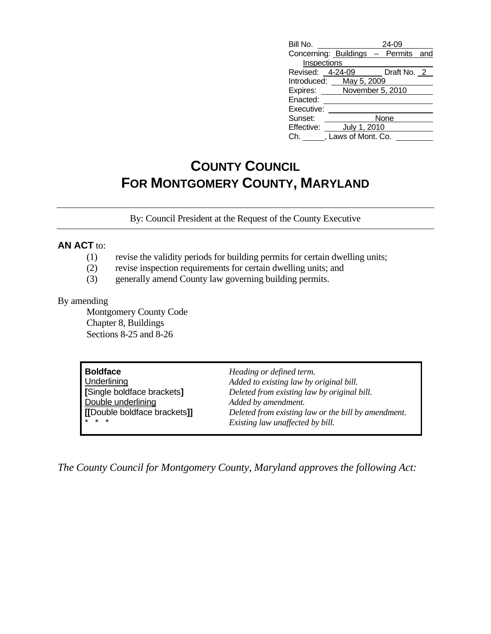| Bill No.         |                     | 24-09                               |  |  |
|------------------|---------------------|-------------------------------------|--|--|
|                  |                     | Concerning: Buildings - Permits and |  |  |
| Inspections      |                     |                                     |  |  |
| Revised: 4-24-09 |                     | Draft No. 2                         |  |  |
| Introduced:      | May 5, 2009         |                                     |  |  |
| Expires:         |                     | November 5, 2010                    |  |  |
| Enacted:         |                     |                                     |  |  |
| Executive:       |                     |                                     |  |  |
| Sunset:          |                     | None                                |  |  |
| Effective:       | July 1, 2010        |                                     |  |  |
|                  | , Laws of Mont. Co. |                                     |  |  |

## **COUNTY COUNCIL FOR MONTGOMERY COUNTY, MARYLAND**

By: Council President at the Request of the County Executive

## **AN ACT** to:

- (1) revise the validity periods for building permits for certain dwelling units;
- (2) revise inspection requirements for certain dwelling units; and
- (3) generally amend County law governing building permits.

## By amending

 Montgomery County Code Chapter 8, Buildings Sections 8-25 and 8-26

| <b>Boldface</b>              | Heading or defined term.                            |
|------------------------------|-----------------------------------------------------|
| Underlining                  | Added to existing law by original bill.             |
| [Single boldface brackets]   | Deleted from existing law by original bill.         |
| Double underlining           | Added by amendment.                                 |
| [[Double boldface brackets]] | Deleted from existing law or the bill by amendment. |
| $* * *$                      | Existing law unaffected by bill.                    |

*The County Council for Montgomery County, Maryland approves the following Act:*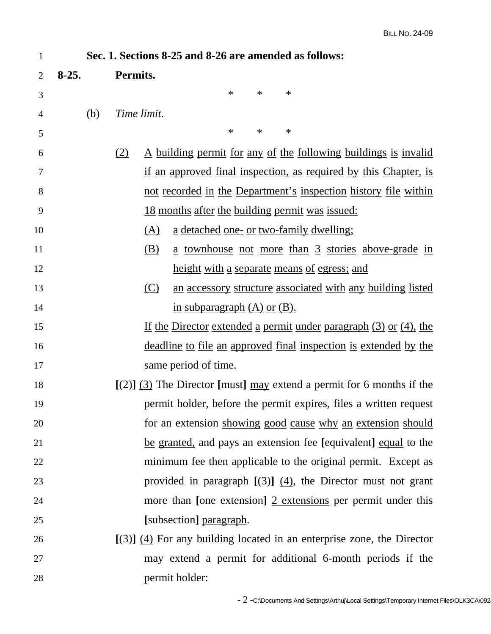| $\mathbf{1}$                                                                  | Sec. 1. Sections 8-25 and 8-26 are amended as follows:      |                                                                                 |  |  |
|-------------------------------------------------------------------------------|-------------------------------------------------------------|---------------------------------------------------------------------------------|--|--|
| $\overline{2}$                                                                | $8-25.$                                                     | Permits.                                                                        |  |  |
| 3                                                                             |                                                             | $\ast$<br>$\ast$<br>$\ast$                                                      |  |  |
| 4                                                                             | (b)                                                         | Time limit.                                                                     |  |  |
| 5                                                                             |                                                             | $\ast$<br>$\ast$<br>$\ast$                                                      |  |  |
| 6                                                                             |                                                             | <u>A building permit for any of the following buildings is invalided</u><br>(2) |  |  |
| 7                                                                             |                                                             | if an approved final inspection, as required by this Chapter, is                |  |  |
| 8                                                                             |                                                             | <u>not recorded in the Department's inspection history file within</u>          |  |  |
| 9                                                                             |                                                             | <u>18 months after the building permit was issued:</u>                          |  |  |
| 10                                                                            |                                                             | <u>a detached one- or two-family dwelling;</u><br>(A)                           |  |  |
| 11                                                                            |                                                             | a townhouse not more than 3 stories above-grade in<br>(B)                       |  |  |
| 12                                                                            |                                                             | <u>height with a separate means of egress; and</u>                              |  |  |
| 13                                                                            |                                                             | (C)<br>an accessory structure associated with any building listed               |  |  |
| 14                                                                            |                                                             | in subparagraph $(A)$ or $(B)$ .                                                |  |  |
| 15                                                                            |                                                             | If the Director extended a permit under paragraph $(3)$ or $(4)$ , the          |  |  |
| 16                                                                            |                                                             | <u>deadline to file an approved final inspection is extended by the</u>         |  |  |
| 17                                                                            |                                                             | <u>same period of time.</u>                                                     |  |  |
| $[(2)]$ (3) The Director [must] may extend a permit for 6 months if the<br>18 |                                                             |                                                                                 |  |  |
| 19                                                                            |                                                             | permit holder, before the permit expires, files a written request               |  |  |
| 20                                                                            | for an extension showing good cause why an extension should |                                                                                 |  |  |
| 21                                                                            |                                                             | be granted, and pays an extension fee [equivalent] equal to the                 |  |  |
| 22                                                                            |                                                             | minimum fee then applicable to the original permit. Except as                   |  |  |
| 23                                                                            |                                                             | provided in paragraph $[(3)]$ $(4)$ , the Director must not grant               |  |  |
| 24                                                                            |                                                             | more than [one extension] $2$ extensions per permit under this                  |  |  |
| 25                                                                            |                                                             | [subsection] paragraph.                                                         |  |  |
| 26                                                                            |                                                             | $[(3)]$ (4) For any building located in an enterprise zone, the Director        |  |  |
| 27                                                                            |                                                             | may extend a permit for additional 6-month periods if the                       |  |  |
| 28                                                                            |                                                             | permit holder:                                                                  |  |  |
|                                                                               |                                                             |                                                                                 |  |  |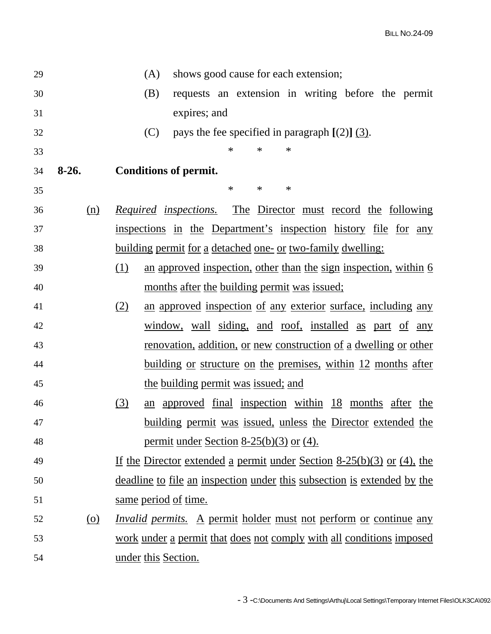| 29 |            | shows good cause for each extension;<br>(A)                              |  |
|----|------------|--------------------------------------------------------------------------|--|
| 30 |            | requests an extension in writing before the permit<br>(B)                |  |
| 31 |            | expires; and                                                             |  |
| 32 |            | (C)<br>pays the fee specified in paragraph $[(2)]$ $(3)$ .               |  |
| 33 |            | $\ast$<br>$\ast$<br>$\ast$                                               |  |
| 34 | $8-26.$    | <b>Conditions of permit.</b>                                             |  |
| 35 |            | $\ast$<br>$\ast$<br>$\ast$                                               |  |
| 36 | (n)        | The Director must record the following<br><i>Required inspections.</i>   |  |
| 37 |            | inspections in the Department's inspection history file for any          |  |
| 38 |            | <u>building permit for a detached one- or two-family dwelling:</u>       |  |
| 39 |            | (1)<br>an approved inspection, other than the sign inspection, within 6  |  |
| 40 |            | months after the building permit was issued;                             |  |
| 41 |            | an approved inspection of any exterior surface, including any<br>(2)     |  |
| 42 |            | window, wall siding, and roof, installed as part of any                  |  |
| 43 |            | <u>renovation, addition, or new construction of a dwelling or other</u>  |  |
| 44 |            | <u>building or structure on the premises, within 12 months after</u>     |  |
| 45 |            | the building permit was issued; and                                      |  |
| 46 |            | (3)<br>an approved final inspection within 18 months after the           |  |
| 47 |            | <u>building permit was issued, unless the Director extended the</u>      |  |
| 48 |            | <u>permit under Section 8-25(b)(3) or (4).</u>                           |  |
| 49 |            | If the Director extended a permit under Section $8-25(b)(3)$ or (4), the |  |
| 50 |            | deadline to file an inspection under this subsection is extended by the  |  |
| 51 |            | <u>same period of time.</u>                                              |  |
| 52 | <u>(0)</u> | <i>Invalid permits.</i> A permit holder must not perform or continue any |  |
| 53 |            | work under a permit that does not comply with all conditions imposed     |  |
| 54 |            | under this Section.                                                      |  |